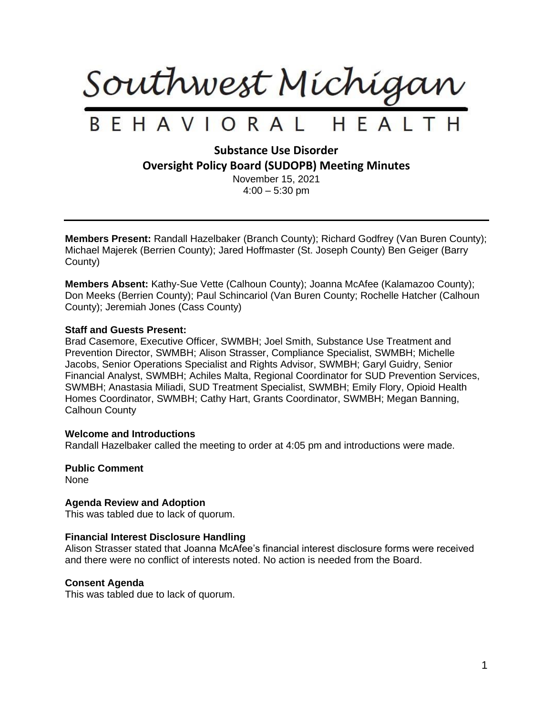

# **Substance Use Disorder Oversight Policy Board (SUDOPB) Meeting Minutes**

November 15, 2021  $4:00 - 5:30$  pm

**Members Present:** Randall Hazelbaker (Branch County); Richard Godfrey (Van Buren County); Michael Majerek (Berrien County); Jared Hoffmaster (St. Joseph County) Ben Geiger (Barry County)

**Members Absent:** Kathy-Sue Vette (Calhoun County); Joanna McAfee (Kalamazoo County); Don Meeks (Berrien County); Paul Schincariol (Van Buren County; Rochelle Hatcher (Calhoun County); Jeremiah Jones (Cass County)

# **Staff and Guests Present:**

Brad Casemore, Executive Officer, SWMBH; Joel Smith, Substance Use Treatment and Prevention Director, SWMBH; Alison Strasser, Compliance Specialist, SWMBH; Michelle Jacobs, Senior Operations Specialist and Rights Advisor, SWMBH; Garyl Guidry, Senior Financial Analyst, SWMBH; Achiles Malta, Regional Coordinator for SUD Prevention Services, SWMBH; Anastasia Miliadi, SUD Treatment Specialist, SWMBH; Emily Flory, Opioid Health Homes Coordinator, SWMBH; Cathy Hart, Grants Coordinator, SWMBH; Megan Banning, Calhoun County

# **Welcome and Introductions**

Randall Hazelbaker called the meeting to order at 4:05 pm and introductions were made.

**Public Comment** None

# **Agenda Review and Adoption**

This was tabled due to lack of quorum.

# **Financial Interest Disclosure Handling**

Alison Strasser stated that Joanna McAfee's financial interest disclosure forms were received and there were no conflict of interests noted. No action is needed from the Board.

# **Consent Agenda**

This was tabled due to lack of quorum.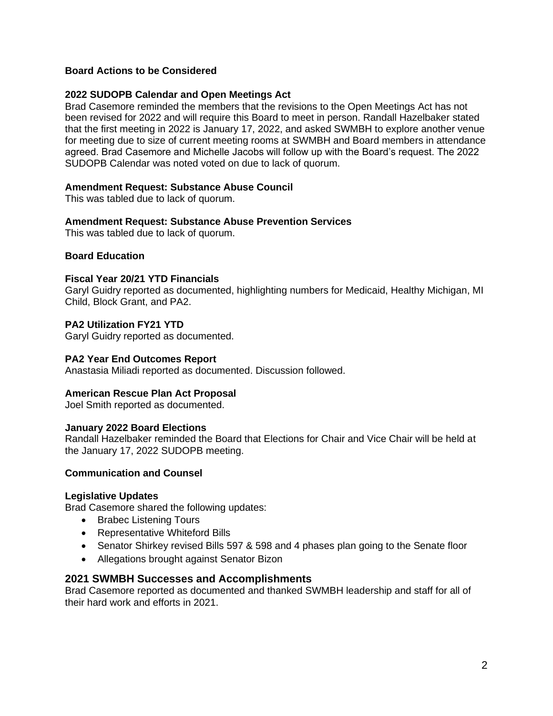# **Board Actions to be Considered**

# **2022 SUDOPB Calendar and Open Meetings Act**

Brad Casemore reminded the members that the revisions to the Open Meetings Act has not been revised for 2022 and will require this Board to meet in person. Randall Hazelbaker stated that the first meeting in 2022 is January 17, 2022, and asked SWMBH to explore another venue for meeting due to size of current meeting rooms at SWMBH and Board members in attendance agreed. Brad Casemore and Michelle Jacobs will follow up with the Board's request. The 2022 SUDOPB Calendar was noted voted on due to lack of quorum.

# **Amendment Request: Substance Abuse Council**

This was tabled due to lack of quorum.

# **Amendment Request: Substance Abuse Prevention Services**

This was tabled due to lack of quorum.

# **Board Education**

# **Fiscal Year 20/21 YTD Financials**

Garyl Guidry reported as documented, highlighting numbers for Medicaid, Healthy Michigan, MI Child, Block Grant, and PA2.

# **PA2 Utilization FY21 YTD**

Garyl Guidry reported as documented.

# **PA2 Year End Outcomes Report**

Anastasia Miliadi reported as documented. Discussion followed.

# **American Rescue Plan Act Proposal**

Joel Smith reported as documented.

# **January 2022 Board Elections**

Randall Hazelbaker reminded the Board that Elections for Chair and Vice Chair will be held at the January 17, 2022 SUDOPB meeting.

# **Communication and Counsel**

# **Legislative Updates**

Brad Casemore shared the following updates:

- Brabec Listening Tours
- Representative Whiteford Bills
- Senator Shirkey revised Bills 597 & 598 and 4 phases plan going to the Senate floor
- Allegations brought against Senator Bizon

# **2021 SWMBH Successes and Accomplishments**

Brad Casemore reported as documented and thanked SWMBH leadership and staff for all of their hard work and efforts in 2021.